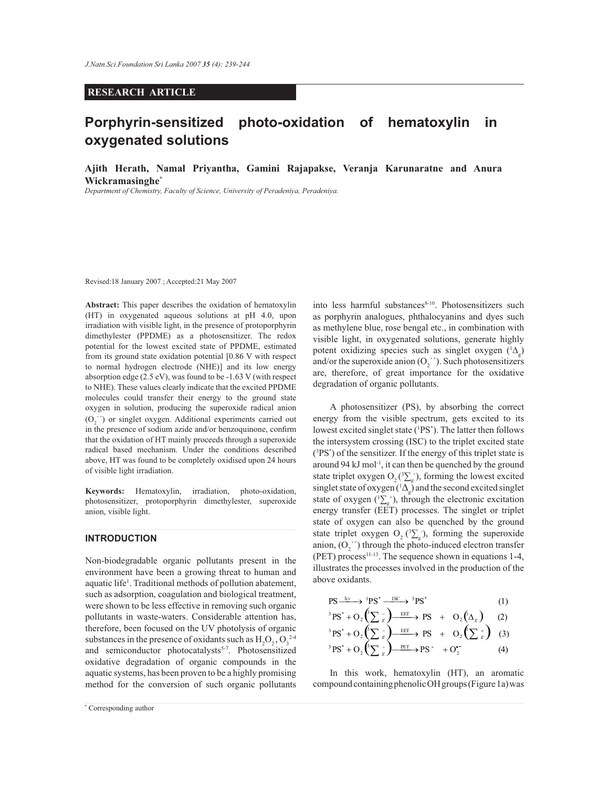## **RESEARCH ARTICLE**

# **Porphyrin-sensitized photo-oxidation of hematoxylin in oxygenated solutions**

**Ajith Herath, Namal Priyantha, Gamini Rajapakse, Veranja Karunaratne and Anura Wickramasinghe\***

*Department of Chemistry, Faculty of Science, University of Peradeniya, Peradeniya.*

Revised:18 January 2007 ; Accepted:21 May 2007

**Abstract:** This paper describes the oxidation of hematoxylin (HT) in oxygenated aqueous solutions at pH 4.0, upon irradiation with visible light, in the presence of protoporphyrin dimethylester (PPDME) as a photosensitizer. The redox potential for the lowest excited state of PPDME, estimated from its ground state oxidation potential [0.86 V with respect to normal hydrogen electrode (NHE)] and its low energy absorption edge (2.5 eV), was found to be -1.63 V (with respect to NHE). These values clearly indicate that the excited PPDME molecules could transfer their energy to the ground state oxygen in solution, producing the superoxide radical anion  $(O_2^{\text{--}})$  or singlet oxygen. Additional experiments carried out in the presence of sodium azide and/or benzoquinone, confirm that the oxidation of HT mainly proceeds through a superoxide radical based mechanism. Under the conditions described above, HT was found to be completely oxidised upon 24 hours of visible light irradiation.

**Keywords:** Hematoxylin, irradiation, photo-oxidation, photosensitizer, protoporphyrin dimethylester, superoxide anion, visible light.

### **INTRODUCTION**

Non-biodegradable organic pollutants present in the environment have been a growing threat to human and aquatic life<sup>1</sup>. Traditional methods of pollution abatement, such as adsorption, coagulation and biological treatment, were shown to be less effective in removing such organic pollutants in waste-waters. Considerable attention has, therefore, been focused on the UV photolysis of organic substances in the presence of oxidants such as  $H_2O_2$ ,  $O_3^{24}$ and semiconductor photocatalysts<sup>5-7</sup>. Photosensitized oxidative degradation of organic compounds in the aquatic systems, has been proven to be a highly promising method for the conversion of such organic pollutants

into less harmful substances<sup>8-10</sup>. Photosensitizers such as porphyrin analogues, phthalocyanins and dyes such as methylene blue, rose bengal etc., in combination with visible light, in oxygenated solutions, generate highly potent oxidizing species such as singlet oxygen  $(1\Delta_g)$ and/or the superoxide anion  $(O_2^{\cdot})$ . Such photosensitizers are, therefore, of great importance for the oxidative degradation of organic pollutants.

 A photosensitizer (PS), by absorbing the correct energy from the visible spectrum, gets excited to its lowest excited singlet state (<sup>1</sup>PS<sup>\*</sup>). The latter then follows the intersystem crossing (ISC) to the triplet excited state  $(^{3}PS^{*})$  of the sensitizer. If the energy of this triplet state is around 94 kJ mol $^{-1}$ , it can then be quenched by the ground state triplet oxygen O<sub>2</sub>( ${}^{3}\Sigma_{g}$ ), forming the lowest excited singlet state of oxygen ( ${}^{1}\Delta_{g}$ ) and the second excited singlet state of oxygen  $({}^{1}\Sigma_{g}^{+})$ , through the electronic excitation energy transfer (EET) processes. The singlet or triplet state of oxygen can also be quenched by the ground state triplet oxygen  $O_2$  ( $\Sigma_g$ ), forming the superoxide anion,  $(O_2^{\text{--}})$  through the photo-induced electron transfer (PET) process $11-13$ . The sequence shown in equations 1-4, illustrates the processes involved in the production of the above oxidants.

$$
PS \xrightarrow{\text{hv}} \text{PS}^* \xrightarrow{\text{ISC}} \text{PS}^* \xrightarrow{\text{ISC}} \text{PS}^* \qquad (1)
$$
\n
$$
{}^{3}PS^* + O_2 \left( \sum_{g} \sum_{g} \right) \xrightarrow{\text{EET}} \text{PS} \ + O_2 \left( \Delta_g \right) \qquad (2)
$$
\n
$$
{}^{3}PS^* + O_2 \left( \sum_{g} \sum_{g} \sum_{g} \text{EET} \rightarrow \text{PS} \ + O_2 \left( \sum_{g} \sum_{g} \right) \qquad (3)
$$
\n
$$
{}^{3}PS^* + O_2 \left( \sum_{g} \sum_{g} \sum_{g} \text{PET} \rightarrow \text{PS}^* \ + O_2 \right) \qquad (4)
$$

 In this work, hematoxylin (HT), an aromatic compound containing phenolic OH groups (Figure 1a) was

*Journal of the National Science Foundation of Sri Lanka 35 (4) December 2007* \* Corresponding author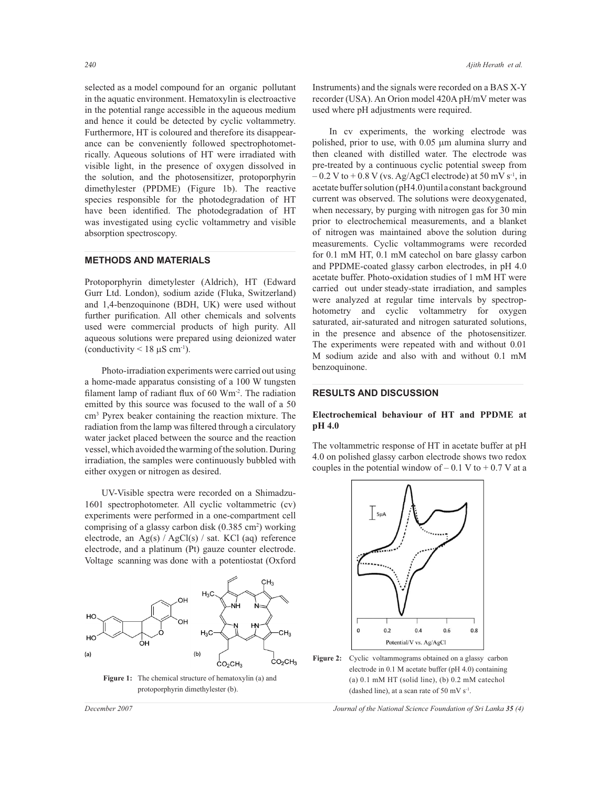selected as a model compound for an organic pollutant in the aquatic environment. Hematoxylin is electroactive in the potential range accessible in the aqueous medium and hence it could be detected by cyclic voltammetry. Furthermore, HT is coloured and therefore its disappearance can be conveniently followed spectrophotometrically. Aqueous solutions of HT were irradiated with visible light, in the presence of oxygen dissolved in the solution, and the photosensitizer, protoporphyrin dimethylester (PPDME) (Figure 1b). The reactive species responsible for the photodegradation of HT have been identified. The photodegradation of HT was investigated using cyclic voltammetry and visible absorption spectroscopy.

## **METHODS AND MATERIALS**

Protoporphyrin dimetylester (Aldrich), HT (Edward Gurr Ltd. London), sodium azide (Fluka, Switzerland) and 1,4-benzoquinone (BDH, UK) were used without further purification. All other chemicals and solvents used were commercial products of high purity. All aqueous solutions were prepared using deionized water (conductivity  $\leq 18 \mu S \text{ cm}^{-1}$ ).

 Photo-irradiation experiments were carried out using a home-made apparatus consisting of a 100 W tungsten filament lamp of radiant flux of 60 Wm<sup>-2</sup>. The radiation emitted by this source was focused to the wall of a 50 cm<sup>3</sup> Pyrex beaker containing the reaction mixture. The radiation from the lamp was filtered through a circulatory water jacket placed between the source and the reaction vessel, which avoided the warming of the solution. During irradiation, the samples were continuously bubbled with either oxygen or nitrogen as desired.

 UV-Visible spectra were recorded on a Shimadzu-1601 spectrophotometer. All cyclic voltammetric (cv) experiments were performed in a one-compartment cell comprising of a glassy carbon disk (0.385 cm<sup>2</sup>) working electrode, an Ag(s) / AgCl(s) / sat. KCl (aq) reference electrode, and a platinum (Pt) gauze counter electrode. Voltage scanning was done with a potentiostat (Oxford



**Figure 1:** The chemical structure of hematoxylin (a) and protoporphyrin dimethylester (b).

Instruments) and the signals were recorded on a BAS X-Y recorder (USA). An Orion model 420A pH/mV meter was used where pH adjustments were required.

 In cv experiments, the working electrode was polished, prior to use, with 0.05 µm alumina slurry and then cleaned with distilled water. The electrode was pre-treated by a continuous cyclic potential sweep from  $-0.2$  V to  $+0.8$  V (vs. Ag/AgCl electrode) at 50 mV s<sup>-1</sup>, in acetate buffer solution (pH4.0) until a constant background current was observed. The solutions were deoxygenated, when necessary, by purging with nitrogen gas for 30 min prior to electrochemical measurements, and a blanket of nitrogen was maintained above the solution during measurements. Cyclic voltammograms were recorded for 0.1 mM HT, 0.1 mM catechol on bare glassy carbon and PPDME-coated glassy carbon electrodes, in pH 4.0 acetate buffer. Photo-oxidation studies of 1 mM HT were carried out under steady-state irradiation, and samples were analyzed at regular time intervals by spectrophotometry and cyclic voltammetry for oxygen saturated, air-saturated and nitrogen saturated solutions, in the presence and absence of the photosensitizer. The experiments were repeated with and without 0.01 M sodium azide and also with and without 0.1 mM benzoquinone.

## **RESULTS AND DISCUSSION**

## **Electrochemical behaviour of HT and PPDME at pH 4.0**

The voltammetric response of HT in acetate buffer at pH 4.0 on polished glassy carbon electrode shows two redox couples in the potential window of  $-0.1$  V to  $+0.7$  V at a



Figure 2: Cyclic voltammograms obtained on a glassy carbon electrode in 0.1 M acetate buffer (pH 4.0) containing (a) 0.1 mM HT (solid line), (b) 0.2 mM catechol (dashed line), at a scan rate of 50 mV  $s^{-1}$ .

*December 2007 Journal of the National Science Foundation of Sri Lanka 35 (4)*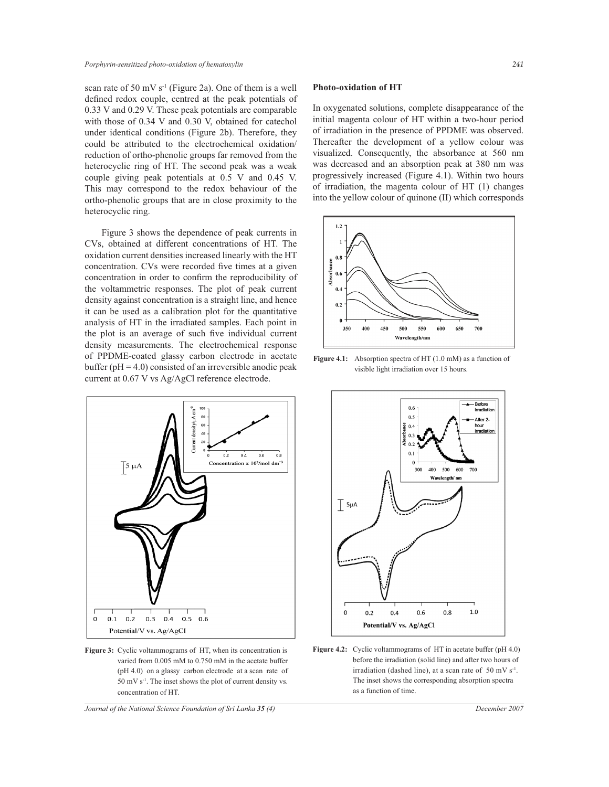scan rate of 50 mV s<sup>-1</sup> (Figure 2a). One of them is a well defined redox couple, centred at the peak potentials of 0.33 V and 0.29 V. These peak potentials are comparable with those of 0.34 V and 0.30 V, obtained for catechol under identical conditions (Figure 2b). Therefore, they could be attributed to the electrochemical oxidation/ reduction of ortho-phenolic groups far removed from the heterocyclic ring of HT. The second peak was a weak couple giving peak potentials at 0.5 V and 0.45 V. This may correspond to the redox behaviour of the ortho-phenolic groups that are in close proximity to the heterocyclic ring.

 Figure 3 shows the dependence of peak currents in CVs, obtained at different concentrations of HT. The oxidation current densities increased linearly with the HT concentration. CVs were recorded five times at a given concentration in order to confirm the reproducibility of the voltammetric responses. The plot of peak current density against concentration is a straight line, and hence it can be used as a calibration plot for the quantitative analysis of HT in the irradiated samples. Each point in the plot is an average of such five individual current density measurements. The electrochemical response of PPDME-coated glassy carbon electrode in acetate buffer ( $pH = 4.0$ ) consisted of an irreversible anodic peak current at 0.67 V vs Ag/AgCl reference electrode.



**Figure 3:** Cyclic voltammograms of HT, when its concentration is varied from 0.005 mM to 0.750 mM in the acetate buffer (pH 4.0) on a glassy carbon electrode at a scan rate of 50 mV s-1. The inset shows the plot of current density vs. concentration of HT.

**Photo-oxidation of HT**

In oxygenated solutions, complete disappearance of the initial magenta colour of HT within a two-hour period of irradiation in the presence of PPDME was observed. Thereafter the development of a yellow colour was visualized. Consequently, the absorbance at 560 nm was decreased and an absorption peak at 380 nm was progressively increased (Figure 4.1). Within two hours of irradiation, the magenta colour of HT (1) changes into the yellow colour of quinone (II) which corresponds



Figure 4.1: Absorption spectra of HT (1.0 mM) as a function of visible light irradiation over 15 hours.



**Figure 4.2:** Cyclic voltammograms of HT in acetate buffer (pH 4.0) before the irradiation (solid line) and after two hours of irradiation (dashed line), at a scan rate of 50 mV  $s^{-1}$ . The inset shows the corresponding absorption spectra as a function of time.

*Journal of the National Science Foundation of Sri Lanka 35 (4) December 2007*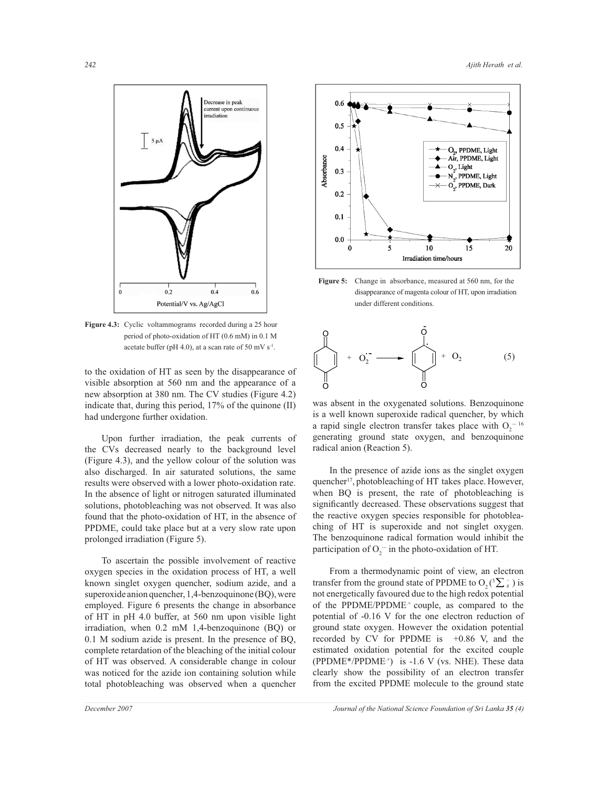

Figure 4.3: Cyclic voltammograms recorded during a 25 hour period of photo-oxidation of HT (0.6 mM) in 0.1 M acetate buffer (pH 4.0), at a scan rate of 50 mV  $s^{-1}$ .

to the oxidation of HT as seen by the disappearance of visible absorption at 560 nm and the appearance of a new absorption at 380 nm. The CV studies (Figure 4.2) indicate that, during this period, 17% of the quinone (II) had undergone further oxidation.

 Upon further irradiation, the peak currents of the CVs decreased nearly to the background level (Figure 4.3), and the yellow colour of the solution was also discharged. In air saturated solutions, the same results were observed with a lower photo-oxidation rate. In the absence of light or nitrogen saturated illuminated solutions, photobleaching was not observed. It was also found that the photo-oxidation of HT, in the absence of PPDME, could take place but at a very slow rate upon prolonged irradiation (Figure 5).

 To ascertain the possible involvement of reactive oxygen species in the oxidation process of HT, a well known singlet oxygen quencher, sodium azide, and a superoxide anion quencher, 1,4-benzoquinone (BQ), were employed. Figure 6 presents the change in absorbance of HT in pH 4.0 buffer, at 560 nm upon visible light irradiation, when 0.2 mM 1,4-benzoquinone (BQ) or 0.1 M sodium azide is present. In the presence of BQ, complete retardation of the bleaching of the initial colour of HT was observed. A considerable change in colour was noticed for the azide ion containing solution while total photobleaching was observed when a quencher



**Figure 5:** Change in absorbance, measured at 560 nm, for the disappearance of magenta colour of HT, upon irradiation under different conditions.



was absent in the oxygenated solutions. Benzoquinone is a well known superoxide radical quencher, by which a rapid single electron transfer takes place with  $O_2^{\text{-}16}$ generating ground state oxygen, and benzoquinone radical anion (Reaction 5).

 In the presence of azide ions as the singlet oxygen quencher<sup>17</sup>, photobleaching of HT takes place. However, when BQ is present, the rate of photobleaching is significantly decreased. These observations suggest that the reactive oxygen species responsible for photobleaching of HT is superoxide and not singlet oxygen. The benzoquinone radical formation would inhibit the participation of  $O_2^-$  in the photo-oxidation of HT.

 From a thermodynamic point of view, an electron transfer from the ground state of PPDME to  $O_2(^3\Sigma_s^-)$  is not energetically favoured due to the high redox potential of the PPDME/PPDME<sup>+</sup> couple, as compared to the potential of -0.16 V for the one electron reduction of ground state oxygen. However the oxidation potential recorded by CV for PPDME is +0.86 V, and the estimated oxidation potential for the excited couple  $(PPDME^* / PPDME^+)$  is -1.6 V (vs. NHE). These data clearly show the possibility of an electron transfer from the excited PPDME molecule to the ground state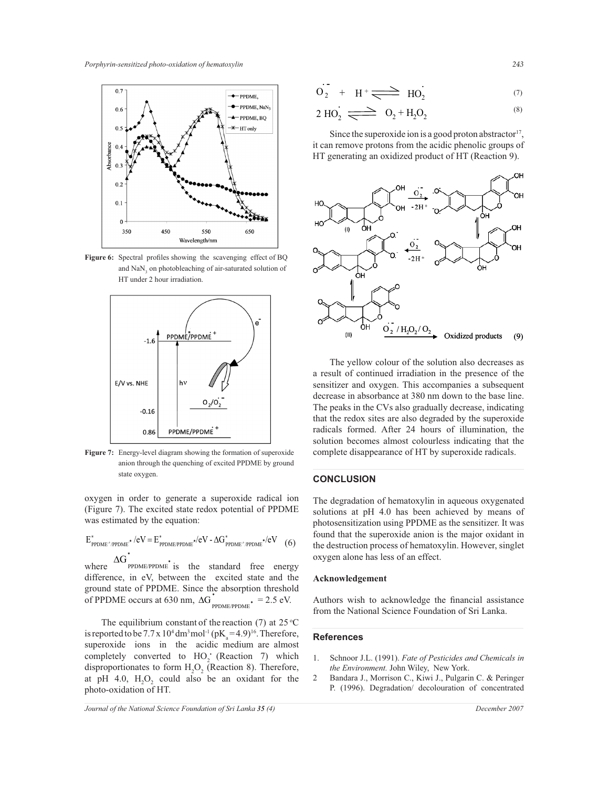

**Figure 6:** Spectral profiles showing the scavenging effect of BQ and  $\text{NaN}_3$  on photobleaching of air-saturated solution of HT under 2 hour irradiation.



**Figure 7:** Energy-level diagram showing the formation of superoxide anion through the quenching of excited PPDME by ground state oxygen.

oxygen in order to generate a superoxide radical ion (Figure 7). The excited state redox potential of PPDME was estimated by the equation:

$$
E^*_{PPDME^*/PPDME^*}/eV = E^*_{PPDME/PPDME^*}/eV - \Delta G^*_{PPDME^*/PPDME^*}/eV \quad (6)
$$

where  $\Delta G_{\text{PPDME/PPDME}}^*$  is the standard free energy difference, in eV, between the excited state and the ground state of PPDME. Since the absorption threshold of PPDME occurs at 630 nm,  $\Delta G_{\text{PPIMEPPDME}}^* = 2.5 \text{ eV}.$ 

The equilibrium constant of the reaction (7) at  $25^{\circ}$ C is reported to be  $7.7 \times 10^4$  dm<sup>3</sup> mol<sup>-1</sup> (pK<sub>a</sub> = 4.9)<sup>16</sup>. Therefore, superoxide ions in the acidic medium are almost completely converted to  $HO_2$ <sup>+</sup> (Reaction 7) which disproportionates to form  $H_2O_2$  (Reaction 8). Therefore, at pH 4.0,  $H_2O_2$  could also be an oxidant for the photo-oxidation of HT.

*Journal of the National Science Foundation of Sri Lanka 35 (4) December 2007*

$$
O_2 + H^+ \longrightarrow HO_2 \tag{7}
$$

$$
2 \text{ HO}_2 \xrightarrow{\qquad} \quad \text{O}_2 + \text{H}_2\text{O}_2 \tag{8}
$$

Since the superoxide ion is a good proton abstractor<sup>17</sup>, it can remove protons from the acidic phenolic groups of HT generating an oxidized product of HT (Reaction 9).



 The yellow colour of the solution also decreases as a result of continued irradiation in the presence of the sensitizer and oxygen. This accompanies a subsequent decrease in absorbance at 380 nm down to the base line. The peaks in the CVs also gradually decrease, indicating that the redox sites are also degraded by the superoxide radicals formed. After 24 hours of illumination, the solution becomes almost colourless indicating that the complete disappearance of HT by superoxide radicals.

### **CONCLUSION**

The degradation of hematoxylin in aqueous oxygenated solutions at pH 4.0 has been achieved by means of photosensitization using PPDME as the sensitizer. It was found that the superoxide anion is the major oxidant in the destruction process of hematoxylin. However, singlet oxygen alone has less of an effect.

### **Acknowledgement**

Authors wish to acknowledge the financial assistance from the National Science Foundation of Sri Lanka.

#### **References**

- 1. Schnoor J.L. (1991). *Fate of Pesticides and Chemicals in the Environment.* John Wiley, New York.
- 2 Bandara J., Morrison C., Kiwi J., Pulgarin C. & Peringer P. (1996). Degradation/ decolouration of concentrated